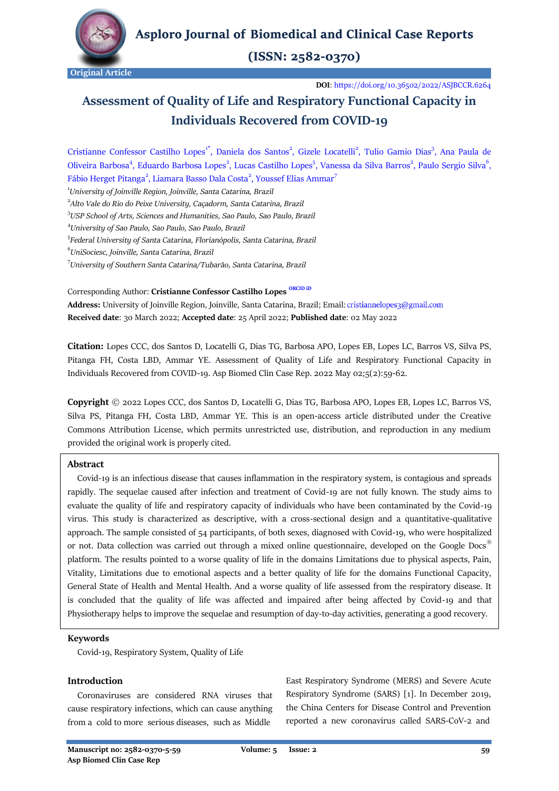

 $(ISSN: 2582-0370)$ 

**DOI**:<https://doi.org/10.36502/2022/ASJBCCR.6264>

# **Assessment of Quality of Life and Respiratory Functional Capacity in Individuals Recovered from COVID-19**

Cristianne Confessor Castilho Lopes<sup>1\*</sup>, Daniela dos Santos<sup>2</sup>, Gizele Locatelli<sup>2</sup>, Tulio Gamio Dias<sup>3</sup>, Ana Paula de Oliveira Barbosa<sup>4</sup>, Eduardo Barbosa Lopes<sup>2</sup>, Lucas Castilho Lopes<sup>5</sup>, Vanessa da Silva Barros<sup>2</sup>, Paulo Sergio Silva<sup>6</sup>, Fábio Herget Pitanga<sup>2</sup>, Liamara Basso Dala Costa<sup>2</sup>, Youssef Elias Ammar<sup>7</sup>

1 *[University of Joinville Region,](https://www.univille.edu.br/) Joinville, Santa Catarina, Brazil*

2 *[Alto Vale do Rio do Peixe University,](https://www.uniarp.edu.br/) Caçadorm, Santa Catarina, Brazil*

3 *[USP School of Arts, Sciences and Humanities,](http://www5.each.usp.br/) Sao Paulo, Sao Paulo, Brazil*

4 *[University of Sao Paulo,](https://www5.usp.br/) Sao Paulo, Sao Paulo, Brazil*

5 *[Federal University of Santa Catarina,](https://en.ufsc.br/) Florianópolis, Santa Catarina, Brazil*

6 *[UniSociesc,](https://www.unisociesc.com.br/) Joinville, Santa Catarina, Brazil*

7 *University of Southern Santa Catarina/Tubarão, Santa Catarina, Brazil*

Corresponding Author: **Cristianne Confessor Castilho Lopes [ORCID iD](https://orcid.org/0000-0002-4272-1645)**

**Address:** University of Joinville Region, Joinville, Santa Catarina, Brazil; Email: **Received date**: 30 March 2022; **Accepted date**: 25 April 2022; **Published date**: 02 May 2022

**Citation:** Lopes CCC, dos Santos D, Locatelli G, Dias TG, Barbosa APO, Lopes EB, Lopes LC, Barros VS, Silva PS, Pitanga FH, Costa LBD, Ammar YE. Assessment of Quality of Life and Respiratory Functional Capacity in Individuals Recovered from COVID-19. Asp Biomed Clin Case Rep. 2022 May 02;5(2):59-62.

**Copyright** © 2022 Lopes CCC, dos Santos D, Locatelli G, Dias TG, Barbosa APO, Lopes EB, Lopes LC, Barros VS, Silva PS, Pitanga FH, Costa LBD, Ammar YE. This is an open-access article distributed under the Creative Commons Attribution License, which permits unrestricted use, distribution, and reproduction in any medium provided the original work is properly cited.

#### **Abstract**

 Covid-19 is an infectious disease that causes inflammation in the respiratory system, is contagious and spreads rapidly. The sequelae caused after infection and treatment of Covid-19 are not fully known. The study aims to evaluate the quality of life and respiratory capacity of individuals who have been contaminated by the Covid-19 virus. This study is characterized as descriptive, with a cross-sectional design and a quantitative-qualitative approach. The sample consisted of 54 participants, of both sexes, diagnosed with Covid-19, who were hospitalized or not. Data collection was carried out through a mixed online questionnaire, developed on the Google Docs<sup>®</sup> platform. The results pointed to a worse quality of life in the domains Limitations due to physical aspects, Pain, Vitality, Limitations due to emotional aspects and a better quality of life for the domains Functional Capacity, General State of Health and Mental Health. And a worse quality of life assessed from the respiratory disease. It is concluded that the quality of life was affected and impaired after being affected by Covid-19 and that Physiotherapy helps to improve the sequelae and resumption of day-to-day activities, generating a good recovery.

#### **Keywords**

Covid-19, Respiratory System, Quality of Life

#### **Introduction**

 Coronaviruses are considered RNA viruses that cause respiratory infections, which can cause anything from a cold to more serious diseases, such as Middle

East Respiratory Syndrome (MERS) and Severe Acute Respiratory Syndrome (SARS) [1]. In December 2019, the China Centers for Disease Control and Prevention reported a new coronavirus called SARS-CoV-2 and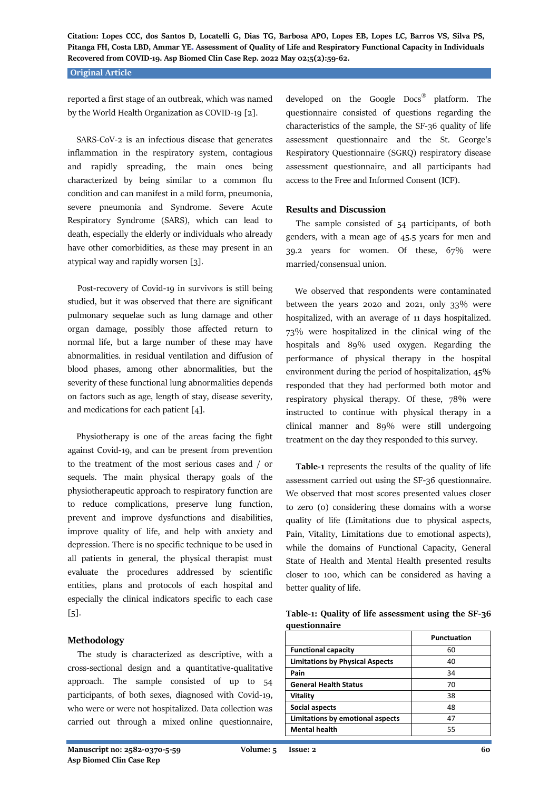**Citation: Lopes CCC, dos Santos D, Locatelli G, Dias TG, Barbosa APO, Lopes EB, Lopes LC, Barros VS, Silva PS, Pitanga FH, Costa LBD, Ammar YE. Assessment of Quality of Life and Respiratory Functional Capacity in Individuals Recovered from COVID-19. Asp Biomed Clin Case Rep. 2022 May 02;5(2):59-62.**

#### **Original Article**

reported a first stage of an outbreak, which was named by the World Health Organization as COVID-19 [2].

 SARS-CoV-2 is an infectious disease that generates inflammation in the respiratory system, contagious and rapidly spreading, the main ones being characterized by being similar to a common flu condition and can manifest in a mild form, pneumonia, severe pneumonia and Syndrome. Severe Acute Respiratory Syndrome (SARS), which can lead to death, especially the elderly or individuals who already have other comorbidities, as these may present in an atypical way and rapidly worsen [3].

 Post-recovery of Covid-19 in survivors is still being studied, but it was observed that there are significant pulmonary sequelae such as lung damage and other organ damage, possibly those affected return to normal life, but a large number of these may have abnormalities. in residual ventilation and diffusion of blood phases, among other abnormalities, but the severity of these functional lung abnormalities depends on factors such as age, length of stay, disease severity, and medications for each patient [4].

 Physiotherapy is one of the areas facing the fight against Covid-19, and can be present from prevention to the treatment of the most serious cases and / or sequels. The main physical therapy goals of the physiotherapeutic approach to respiratory function are to reduce complications, preserve lung function, prevent and improve dysfunctions and disabilities, improve quality of life, and help with anxiety and depression. There is no specific technique to be used in all patients in general, the physical therapist must evaluate the procedures addressed by scientific entities, plans and protocols of each hospital and especially the clinical indicators specific to each case  $[5]$ .

#### **Methodology**

 The study is characterized as descriptive, with a cross-sectional design and a quantitative-qualitative approach. The sample consisted of up to 54 participants, of both sexes, diagnosed with Covid-19, who were or were not hospitalized. Data collection was carried out through a mixed online questionnaire,

developed on the Google Docs® platform. The questionnaire consisted of questions regarding the characteristics of the sample, the SF-36 quality of life assessment questionnaire and the St. George's Respiratory Questionnaire (SGRQ) respiratory disease assessment questionnaire, and all participants had access to the Free and Informed Consent (ICF).

## **Results and Discussion**

 The sample consisted of 54 participants, of both genders, with a mean age of 45.5 years for men and 39.2 years for women. Of these, 67% were married/consensual union.

 We observed that respondents were contaminated between the years 2020 and 2021, only 33% were hospitalized, with an average of 11 days hospitalized. 73% were hospitalized in the clinical wing of the hospitals and 89% used oxygen. Regarding the performance of physical therapy in the hospital environment during the period of hospitalization, 45% responded that they had performed both motor and respiratory physical therapy. Of these, 78% were instructed to continue with physical therapy in a clinical manner and 89% were still undergoing treatment on the day they responded to this survey.

 **Table-1** represents the results of the quality of life assessment carried out using the SF-36 questionnaire. We observed that most scores presented values closer to zero (0) considering these domains with a worse quality of life (Limitations due to physical aspects, Pain, Vitality, Limitations due to emotional aspects), while the domains of Functional Capacity, General State of Health and Mental Health presented results closer to 100, which can be considered as having a better quality of life.

**Table-1: Quality of life assessment using the SF-36 questionnaire**

|                                        | Punctuation |
|----------------------------------------|-------------|
| <b>Functional capacity</b>             | 60          |
| <b>Limitations by Physical Aspects</b> | 40          |
| Pain                                   | 34          |
| <b>General Health Status</b>           | 70          |
| Vitality                               | 38          |
| Social aspects                         | 48          |
| Limitations by emotional aspects       | 47          |
| <b>Mental health</b>                   | 55          |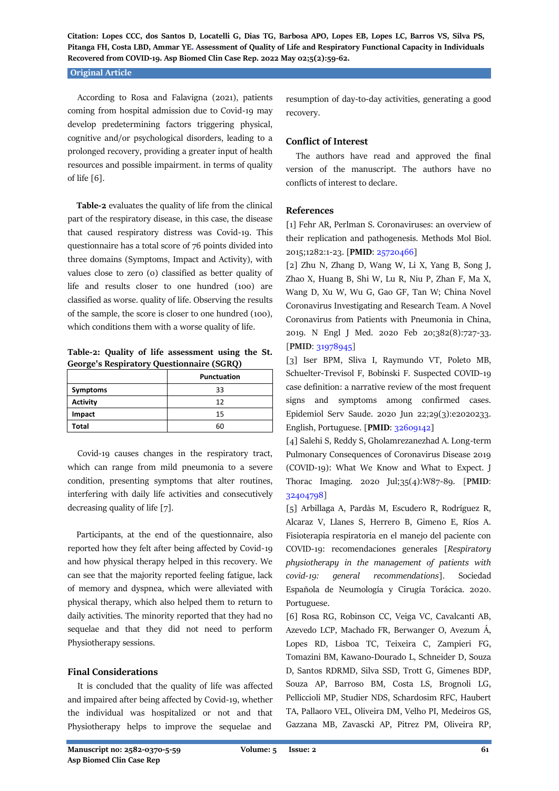**Citation: Lopes CCC, dos Santos D, Locatelli G, Dias TG, Barbosa APO, Lopes EB, Lopes LC, Barros VS, Silva PS, Pitanga FH, Costa LBD, Ammar YE. Assessment of Quality of Life and Respiratory Functional Capacity in Individuals Recovered from COVID-19. Asp Biomed Clin Case Rep. 2022 May 02;5(2):59-62.**

#### **Original Article**

 According to Rosa and Falavigna (2021), patients coming from hospital admission due to Covid-19 may develop predetermining factors triggering physical, cognitive and/or psychological disorders, leading to a prolonged recovery, providing a greater input of health resources and possible impairment. in terms of quality of life [6].

 **Table-2** evaluates the quality of life from the clinical part of the respiratory disease, in this case, the disease that caused respiratory distress was Covid-19. This questionnaire has a total score of 76 points divided into three domains (Symptoms, Impact and Activity), with values close to zero (0) classified as better quality of life and results closer to one hundred (100) are classified as worse. quality of life. Observing the results of the sample, the score is closer to one hundred (100), which conditions them with a worse quality of life.

**Table-2: Quality of life assessment using the St. George's Respiratory Questionnaire (SGRQ)**

|                 | <b>Punctuation</b> |
|-----------------|--------------------|
| Symptoms        | 33                 |
| <b>Activity</b> | 12                 |
| Impact          | 15                 |
| Total           |                    |

 Covid-19 causes changes in the respiratory tract, which can range from mild pneumonia to a severe condition, presenting symptoms that alter routines, interfering with daily life activities and consecutively decreasing quality of life [7].

 Participants, at the end of the questionnaire, also reported how they felt after being affected by Covid-19 and how physical therapy helped in this recovery. We can see that the majority reported feeling fatigue, lack of memory and dyspnea, which were alleviated with physical therapy, which also helped them to return to daily activities. The minority reported that they had no sequelae and that they did not need to perform Physiotherapy sessions.

#### **Final Considerations**

 It is concluded that the quality of life was affected and impaired after being affected by Covid-19, whether the individual was hospitalized or not and that Physiotherapy helps to improve the sequelae and resumption of day-to-day activities, generating a good recovery.

## **Conflict of Interest**

 The authors have read and approved the final version of the manuscript. The authors have no conflicts of interest to declare.

## **References**

[1] Fehr AR, Perlman S. Coronaviruses: an overview of their replication and pathogenesis. Methods Mol Biol. 2015;1282:1-23. [**PMID**: [25720466\]](https://pubmed.ncbi.nlm.nih.gov/25720466/)

[2] Zhu N, Zhang D, Wang W, Li X, Yang B, Song J, Zhao X, Huang B, Shi W, Lu R, Niu P, Zhan F, Ma X, Wang D, Xu W, Wu G, Gao GF, Tan W; China Novel Coronavirus Investigating and Research Team. A Novel Coronavirus from Patients with Pneumonia in China, 2019. N Engl J Med. 2020 Feb 20;382(8):727-33. [**PMID**: [31978945\]](https://pubmed.ncbi.nlm.nih.gov/31978945/)

[3] Iser BPM, Sliva I, Raymundo VT, Poleto MB, Schuelter-Trevisol F, Bobinski F. Suspected COVID-19 case definition: a narrative review of the most frequent signs and symptoms among confirmed cases. Epidemiol Serv Saude. 2020 Jun 22;29(3):e2020233. English, Portuguese. [**PMID**: [32609142\]](https://pubmed.ncbi.nlm.nih.gov/32609142/)

[4] Salehi S, Reddy S, Gholamrezanezhad A. Long-term Pulmonary Consequences of Coronavirus Disease 2019 (COVID-19): What We Know and What to Expect. J Thorac Imaging. 2020 Jul;35(4):W87-89. [**PMID**: [32404798\]](https://pubmed.ncbi.nlm.nih.gov/32404798/)

[5] Arbillaga A, Pardàs M, Escudero R, Rodríguez R, Alcaraz V, Llanes S, Herrero B, Gimeno E, Ríos A. Fisioterapia respiratoria en el manejo del paciente con COVID-19: recomendaciones generales [*Respiratory physiotherapy in the management of patients with covid-19: general recommendations*]. Sociedad Española de Neumología y Cirugía Torácica. 2020. Portuguese.

[6] Rosa RG, Robinson CC, Veiga VC, Cavalcanti AB, Azevedo LCP, Machado FR, Berwanger O, Avezum Á, Lopes RD, Lisboa TC, Teixeira C, Zampieri FG, Tomazini BM, Kawano-Dourado L, Schneider D, Souza D, Santos RDRMD, Silva SSD, Trott G, Gimenes BDP, Souza AP, Barroso BM, Costa LS, Brognoli LG, Pelliccioli MP, Studier NDS, Schardosim RFC, Haubert TA, Pallaoro VEL, Oliveira DM, Velho PI, Medeiros GS, Gazzana MB, Zavascki AP, Pitrez PM, Oliveira RP,